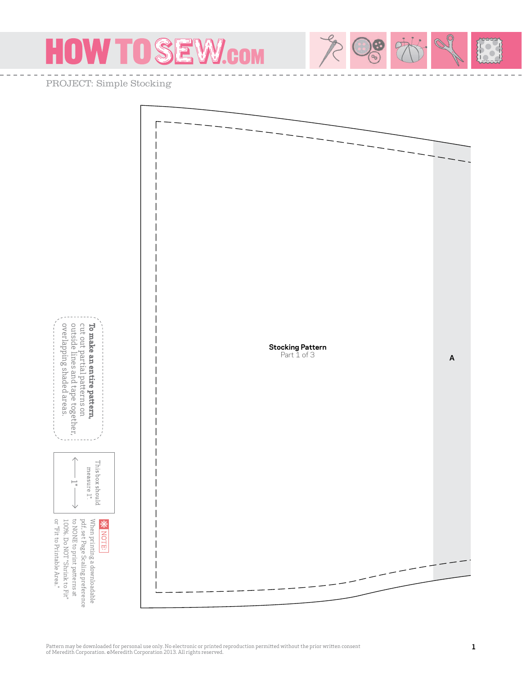## OW TO SEW.com ÷

PROJECT: Simple Stocking

or "Fit to Printable Area."

or "Fit to Printable Area."

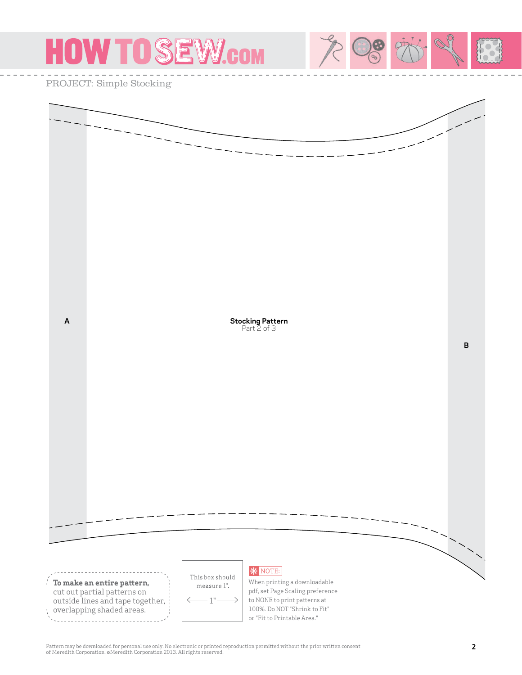

Pattern may be downloaded for personal use only. No electronic or printed reproduction permitted without the prior written consent of Meredith Corporation. ©Meredith Corporation 2013. All rights reserved.